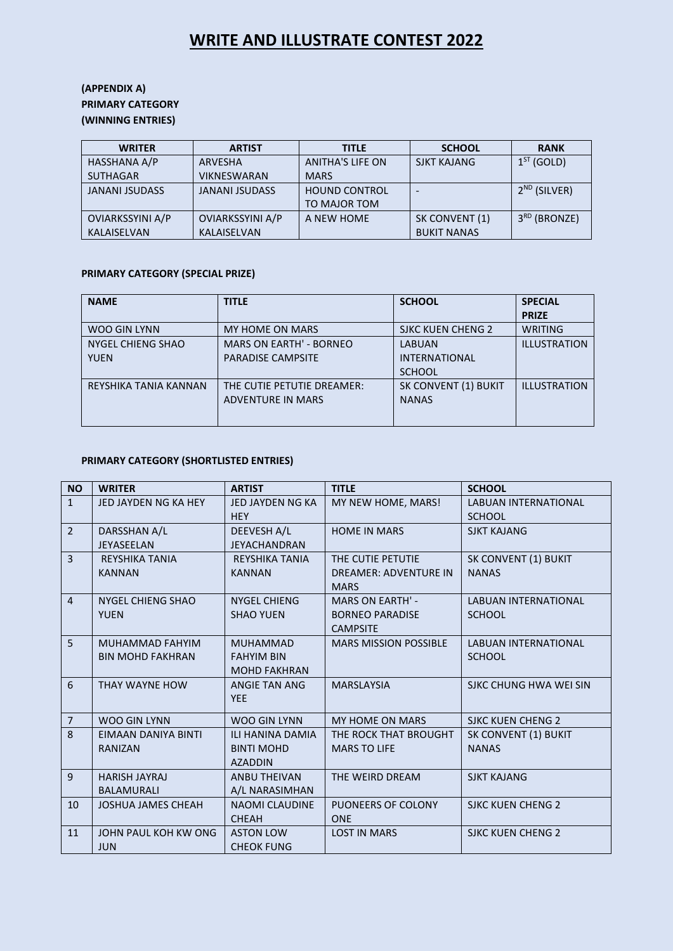## **WRITE AND ILLUSTRATE CONTEST 2022**

## **(APPENDIX A) PRIMARY CATEGORY (WINNING ENTRIES)**

| <b>WRITER</b>           | <b>ARTIST</b>           | <b>TITLE</b>         | <b>SCHOOL</b>      | <b>RANK</b>              |
|-------------------------|-------------------------|----------------------|--------------------|--------------------------|
| HASSHANA A/P            | ARVESHA                 | ANITHA'S LIFE ON     | <b>SJKT KAJANG</b> | $1ST$ (GOLD)             |
| <b>SUTHAGAR</b>         | <b>VIKNESWARAN</b>      | <b>MARS</b>          |                    |                          |
| <b>JANANI JSUDASS</b>   | <b>JANANI JSUDASS</b>   | <b>HOUND CONTROL</b> |                    | $2^{ND}$ (SILVER)        |
|                         |                         | TO MAJOR TOM         |                    |                          |
| <b>OVIARKSSYINI A/P</b> | <b>OVIARKSSYINI A/P</b> | A NEW HOME           | SK CONVENT (1)     | 3 <sup>RD</sup> (BRONZE) |
| <b>KALAISELVAN</b>      | <b>KALAISELVAN</b>      |                      | <b>BUKIT NANAS</b> |                          |

#### **PRIMARY CATEGORY (SPECIAL PRIZE)**

| <b>NAME</b>                      | <b>TITLE</b>                                               | <b>SCHOOL</b>                                          | <b>SPECIAL</b><br><b>PRIZE</b> |
|----------------------------------|------------------------------------------------------------|--------------------------------------------------------|--------------------------------|
| WOO GIN LYNN                     | MY HOME ON MARS                                            | SJKC KUEN CHENG 2                                      | WRITING                        |
| NYGEL CHIENG SHAO<br><b>YUEN</b> | <b>MARS ON EARTH' - BORNEO</b><br><b>PARADISE CAMPSITE</b> | <b>LABUAN</b><br><b>INTERNATIONAL</b><br><b>SCHOOL</b> | <b>ILLUSTRATION</b>            |
| REYSHIKA TANIA KANNAN            | THE CUTIE PETUTIE DREAMER:<br><b>ADVENTURE IN MARS</b>     | SK CONVENT (1) BUKIT<br><b>NANAS</b>                   | <b>ILLUSTRATION</b>            |

## **PRIMARY CATEGORY (SHORTLISTED ENTRIES)**

| <b>NO</b>      | <b>WRITER</b>                                     | <b>ARTIST</b>                                                  | <b>TITLE</b>                                                         | <b>SCHOOL</b>                                |
|----------------|---------------------------------------------------|----------------------------------------------------------------|----------------------------------------------------------------------|----------------------------------------------|
| $\mathbf{1}$   | JED JAYDEN NG KA HEY                              | JED JAYDEN NG KA<br><b>HEY</b>                                 | MY NEW HOME, MARS!                                                   | <b>LABUAN INTERNATIONAL</b><br><b>SCHOOL</b> |
| $\overline{2}$ | DARSSHAN A/L<br>JEYASEELAN                        | DEEVESH A/L<br><b>JEYACHANDRAN</b>                             | <b>HOME IN MARS</b>                                                  | <b>SJKT KAJANG</b>                           |
| $\overline{3}$ | <b>REYSHIKA TANIA</b><br><b>KANNAN</b>            | <b>REYSHIKA TANIA</b><br><b>KANNAN</b>                         | THE CUTIE PETUTIE<br><b>DREAMER: ADVENTURE IN</b><br><b>MARS</b>     | SK CONVENT (1) BUKIT<br><b>NANAS</b>         |
| $\overline{4}$ | NYGEL CHIENG SHAO<br><b>YUEN</b>                  | <b>NYGEL CHIENG</b><br><b>SHAO YUEN</b>                        | <b>MARS ON EARTH' -</b><br><b>BORNEO PARADISE</b><br><b>CAMPSITE</b> | <b>LABUAN INTERNATIONAL</b><br><b>SCHOOL</b> |
| 5              | <b>MUHAMMAD FAHYIM</b><br><b>BIN MOHD FAKHRAN</b> | <b>MUHAMMAD</b><br><b>FAHYIM BIN</b><br><b>MOHD FAKHRAN</b>    | <b>MARS MISSION POSSIBLE</b>                                         | <b>LABUAN INTERNATIONAL</b><br><b>SCHOOL</b> |
| 6              | THAY WAYNE HOW                                    | ANGIE TAN ANG<br><b>YEE</b>                                    | <b>MARSLAYSIA</b>                                                    | SJKC CHUNG HWA WEI SIN                       |
| $\overline{7}$ | <b>WOO GIN LYNN</b>                               | <b>WOO GIN LYNN</b>                                            | <b>MY HOME ON MARS</b>                                               | <b>SJKC KUEN CHENG 2</b>                     |
| 8              | EIMAAN DANIYA BINTI<br><b>RANIZAN</b>             | <b>ILI HANINA DAMIA</b><br><b>BINTI MOHD</b><br><b>AZADDIN</b> | THE ROCK THAT BROUGHT<br><b>MARS TO LIFE</b>                         | SK CONVENT (1) BUKIT<br><b>NANAS</b>         |
| 9              | <b>HARISH JAYRAJ</b><br><b>BALAMURALI</b>         | <b>ANBU THEIVAN</b><br>A/L NARASIMHAN                          | THE WEIRD DREAM                                                      | <b>SJKT KAJANG</b>                           |
| 10             | <b>JOSHUA JAMES CHEAH</b>                         | <b>NAOMI CLAUDINE</b><br><b>CHEAH</b>                          | PUONEERS OF COLONY<br><b>ONE</b>                                     | <b>SJKC KUEN CHENG 2</b>                     |
| 11             | JOHN PAUL KOH KW ONG<br><b>JUN</b>                | <b>ASTON LOW</b><br><b>CHEOK FUNG</b>                          | <b>LOST IN MARS</b>                                                  | <b>SJKC KUEN CHENG 2</b>                     |